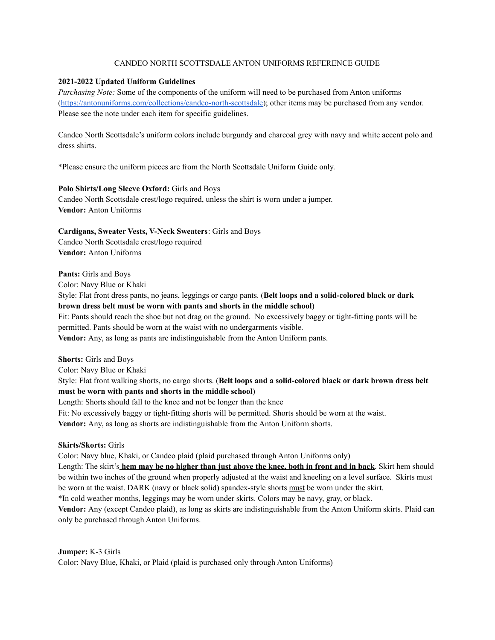## CANDEO NORTH SCOTTSDALE ANTON UNIFORMS REFERENCE GUIDE

### **2021-2022 Updated Uniform Guidelines**

*Purchasing Note:* Some of the components of the uniform will need to be purchased from Anton uniforms [\(https://antonuniforms.com/collections/candeo-north-scottsdale](https://antonuniforms.com/collections/candeo-north-scottsdale)); other items may be purchased from any vendor. Please see the note under each item for specific guidelines.

Candeo North Scottsdale's uniform colors include burgundy and charcoal grey with navy and white accent polo and dress shirts.

\*Please ensure the uniform pieces are from the North Scottsdale Uniform Guide only.

## **Polo Shirts/Long Sleeve Oxford:** Girls and Boys

Candeo North Scottsdale crest/logo required, unless the shirt is worn under a jumper. **Vendor:** Anton Uniforms

**Cardigans, Sweater Vests, V-Neck Sweaters**: Girls and Boys Candeo North Scottsdale crest/logo required **Vendor:** Anton Uniforms

**Pants:** Girls and Boys

Color: Navy Blue or Khaki

Style: Flat front dress pants, no jeans, leggings or cargo pants. (**Belt loops and a solid-colored black or dark brown dress belt must be worn with pants and shorts in the middle school**)

Fit: Pants should reach the shoe but not drag on the ground. No excessively baggy or tight-fitting pants will be permitted. Pants should be worn at the waist with no undergarments visible.

**Vendor:** Any, as long as pants are indistinguishable from the Anton Uniform pants.

**Shorts:** Girls and Boys

Color: Navy Blue or Khaki

Style: Flat front walking shorts, no cargo shorts. (**Belt loops and a solid-colored black or dark brown dress belt must be worn with pants and shorts in the middle school**)

Length: Shorts should fall to the knee and not be longer than the knee

Fit: No excessively baggy or tight-fitting shorts will be permitted. Shorts should be worn at the waist. **Vendor:** Any, as long as shorts are indistinguishable from the Anton Uniform shorts.

## **Skirts/Skorts:** Girls

Color: Navy blue, Khaki, or Candeo plaid (plaid purchased through Anton Uniforms only)

Length: The skirt's **hem may be no higher than just above the knee, both in front and in back**. Skirt hem should be within two inches of the ground when properly adjusted at the waist and kneeling on a level surface. Skirts must be worn at the waist. DARK (navy or black solid) spandex-style shorts must be worn under the skirt.

\*In cold weather months, leggings may be worn under skirts. Colors may be navy, gray, or black.

**Vendor:** Any (except Candeo plaid), as long as skirts are indistinguishable from the Anton Uniform skirts. Plaid can only be purchased through Anton Uniforms.

#### **Jumper:** K-3 Girls

Color: Navy Blue, Khaki, or Plaid (plaid is purchased only through Anton Uniforms)